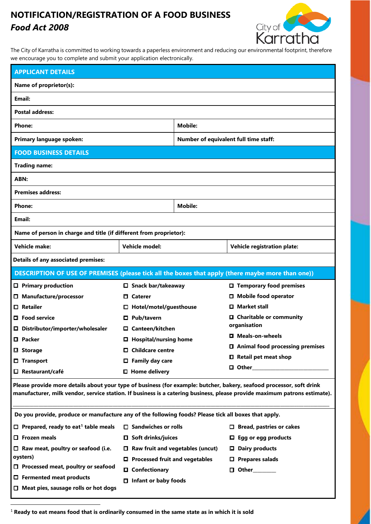## **NOTIFICATION/REGISTRATION OF A FOOD BUSINESS** *Food Act 2008*



The City of Karratha is committed to working towards a paperless environment and reducing our environmental footprint, therefore we encourage you to complete and submit your application electronically.

| <b>APPLICANT DETAILS</b>                                                                                                                                                                                                                          |                                         |                                       |                                          |  |  |  |
|---------------------------------------------------------------------------------------------------------------------------------------------------------------------------------------------------------------------------------------------------|-----------------------------------------|---------------------------------------|------------------------------------------|--|--|--|
| Name of proprietor(s):                                                                                                                                                                                                                            |                                         |                                       |                                          |  |  |  |
| Email:                                                                                                                                                                                                                                            |                                         |                                       |                                          |  |  |  |
| <b>Postal address:</b>                                                                                                                                                                                                                            |                                         |                                       |                                          |  |  |  |
| <b>Phone:</b>                                                                                                                                                                                                                                     |                                         | <b>Mobile:</b>                        |                                          |  |  |  |
| Primary language spoken:                                                                                                                                                                                                                          |                                         | Number of equivalent full time staff: |                                          |  |  |  |
| <b>FOOD BUSINESS DETAILS</b>                                                                                                                                                                                                                      |                                         |                                       |                                          |  |  |  |
| <b>Trading name:</b>                                                                                                                                                                                                                              |                                         |                                       |                                          |  |  |  |
| ABN:                                                                                                                                                                                                                                              |                                         |                                       |                                          |  |  |  |
| <b>Premises address:</b>                                                                                                                                                                                                                          |                                         |                                       |                                          |  |  |  |
| <b>Phone:</b>                                                                                                                                                                                                                                     | <b>Mobile:</b>                          |                                       |                                          |  |  |  |
| Email:                                                                                                                                                                                                                                            |                                         |                                       |                                          |  |  |  |
| Name of person in charge and title (if different from proprietor):                                                                                                                                                                                |                                         |                                       |                                          |  |  |  |
| <b>Vehicle make:</b>                                                                                                                                                                                                                              | Vehicle model:                          |                                       | <b>Vehicle registration plate:</b>       |  |  |  |
| <b>Details of any associated premises:</b>                                                                                                                                                                                                        |                                         |                                       |                                          |  |  |  |
| DESCRIPTION OF USE OF PREMISES (please tick all the boxes that apply (there maybe more than one))                                                                                                                                                 |                                         |                                       |                                          |  |  |  |
| $\Box$ Primary production                                                                                                                                                                                                                         | $\Box$ Snack bar/takeaway               |                                       | $\Box$ Temporary food premises           |  |  |  |
| □ Manufacture/processor                                                                                                                                                                                                                           | □ Caterer                               |                                       | <b>Mobile food operator</b><br>0.        |  |  |  |
| $\Box$ Retailer                                                                                                                                                                                                                                   | Hotel/motel/guesthouse<br>0             |                                       | <b>□</b> Market stall                    |  |  |  |
| 口 Food service                                                                                                                                                                                                                                    | Pub/tavern                              |                                       | □ Charitable or community                |  |  |  |
| □ Distributor/importer/wholesaler                                                                                                                                                                                                                 | Canteen/kitchen                         |                                       | organisation                             |  |  |  |
| <b>口</b> Packer                                                                                                                                                                                                                                   | □ Hospital/nursing home                 |                                       | □ Meals-on-wheels                        |  |  |  |
| □ Storage                                                                                                                                                                                                                                         | $\Box$ Childcare centre                 |                                       | □ Animal food processing premises        |  |  |  |
| $\square$ Transport                                                                                                                                                                                                                               | $\Box$ Family day care                  |                                       | □ Retail pet meat shop                   |  |  |  |
| $\Box$ Restaurant/café                                                                                                                                                                                                                            | $\square$ Home delivery                 |                                       | $\Box$ Other and $\Box$ Other and $\Box$ |  |  |  |
| Please provide more details about your type of business (for example: butcher, bakery, seafood processor, soft drink<br>manufacturer, milk vendor, service station. If business is a catering business, please provide maximum patrons estimate). |                                         |                                       |                                          |  |  |  |
| Do you provide, produce or manufacture any of the following foods? Please tick all boxes that apply.                                                                                                                                              |                                         |                                       |                                          |  |  |  |
| $\Box$ Prepared, ready to eat <sup>1</sup> table meals                                                                                                                                                                                            | $\Box$ Sandwiches or rolls              |                                       | $\Box$ Bread, pastries or cakes          |  |  |  |
| $\Box$ Frozen meals                                                                                                                                                                                                                               | $\Box$ Soft drinks/juices               |                                       | $\Box$ Egg or egg products               |  |  |  |
| $\Box$ Raw meat, poultry or seafood (i.e.                                                                                                                                                                                                         | $\Box$ Raw fruit and vegetables (uncut) |                                       | $\Box$ Dairy products                    |  |  |  |
| oysters)                                                                                                                                                                                                                                          | $\Box$ Processed fruit and vegetables   |                                       | $\square$ Prepares salads                |  |  |  |
| □ Processed meat, poultry or seafood                                                                                                                                                                                                              | □ Confectionary                         |                                       | $\Box$ Other                             |  |  |  |
| $\Box$ Fermented meat products                                                                                                                                                                                                                    | $\Box$ Infant or baby foods             |                                       |                                          |  |  |  |
| $\Box$ Meat pies, sausage rolls or hot dogs                                                                                                                                                                                                       |                                         |                                       |                                          |  |  |  |

<span id="page-0-0"></span>1 **Ready to eat means food that is ordinarily consumed in the same state as in which it is sold**